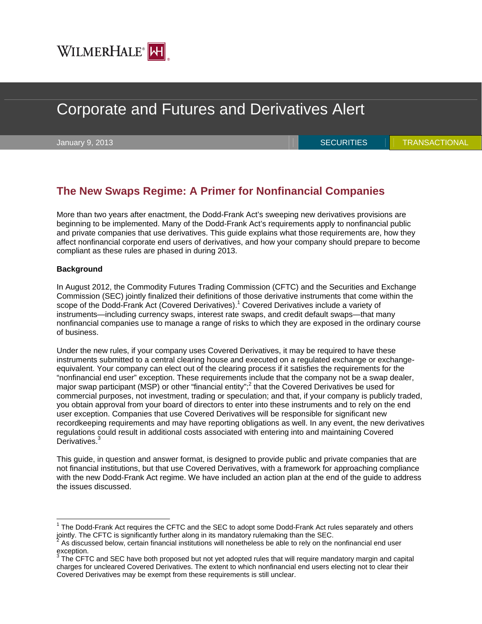

# Corporate and Futures and Derivatives Alert

January 9, 2013 **SECURITIES And All SECURITIES** TRANSACTIONAL

# **The New Swaps Regime: A Primer for Nonfinancial Companies**

More than two years after enactment, the Dodd-Frank Act's sweeping new derivatives provisions are beginning to be implemented. Many of the Dodd-Frank Act's requirements apply to nonfinancial public and private companies that use derivatives. This guide explains what those requirements are, how they affect nonfinancial corporate end users of derivatives, and how your company should prepare to become compliant as these rules are phased in during 2013.

#### **Background**

 $\overline{a}$ 

In August 2012, the Commodity Futures Trading Commission (CFTC) and the Securities and Exchange Commission (SEC) jointly finalized their definitions of those derivative instruments that come within the scope of the Dodd-Frank Act (Covered Derivatives).<sup>1</sup> Covered Derivatives include a variety of instruments—including currency swaps, interest rate swaps, and credit default swaps—that many nonfinancial companies use to manage a range of risks to which they are exposed in the ordinary course of business.

Under the new rules, if your company uses Covered Derivatives, it may be required to have these instruments submitted to a central clearing house and executed on a regulated exchange or exchangeequivalent. Your company can elect out of the clearing process if it satisfies the requirements for the "nonfinancial end user" exception. These requirements include that the company not be a swap dealer, major swap participant (MSP) or other "financial entity";<sup>2</sup> that the Covered Derivatives be used for commercial purposes, not investment, trading or speculation; and that, if your company is publicly traded, you obtain approval from your board of directors to enter into these instruments and to rely on the end user exception. Companies that use Covered Derivatives will be responsible for significant new recordkeeping requirements and may have reporting obligations as well. In any event, the new derivatives regulations could result in additional costs associated with entering into and maintaining Covered Derivatives.<sup>3</sup>

This guide, in question and answer format, is designed to provide public and private companies that are not financial institutions, but that use Covered Derivatives, with a framework for approaching compliance with the new Dodd-Frank Act regime. We have included an action plan at the end of the guide to address the issues discussed.

 $1$  The Dodd-Frank Act requires the CFTC and the SEC to adopt some Dodd-Frank Act rules separately and others jointly. The CFTC is significantly further along in its mandatory rulemaking than the SEC.

As discussed below, certain financial institutions will nonetheless be able to rely on the nonfinancial end user exception.

 $3$  The CFTC and SEC have both proposed but not yet adopted rules that will require mandatory margin and capital charges for uncleared Covered Derivatives. The extent to which nonfinancial end users electing not to clear their Covered Derivatives may be exempt from these requirements is still unclear.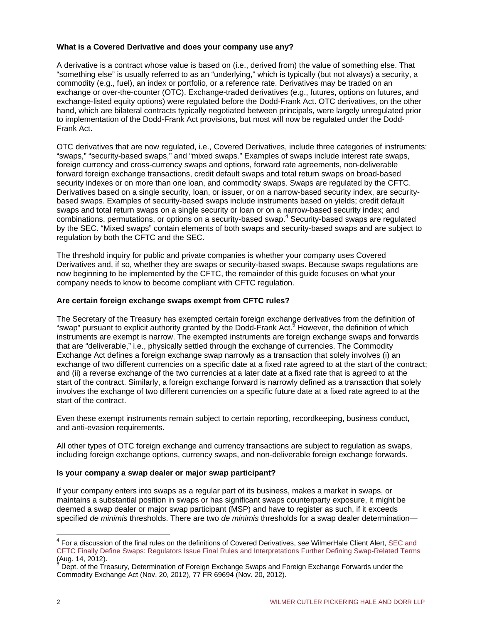#### **What is a Covered Derivative and does your company use any?**

A derivative is a contract whose value is based on (i.e., derived from) the value of something else. That "something else" is usually referred to as an "underlying," which is typically (but not always) a security, a commodity (e.g., fuel), an index or portfolio, or a reference rate. Derivatives may be traded on an exchange or over-the-counter (OTC). Exchange-traded derivatives (e.g., futures, options on futures, and exchange-listed equity options) were regulated before the Dodd-Frank Act. OTC derivatives, on the other hand, which are bilateral contracts typically negotiated between principals, were largely unregulated prior to implementation of the Dodd-Frank Act provisions, but most will now be regulated under the Dodd-Frank Act.

OTC derivatives that are now regulated, i.e., Covered Derivatives, include three categories of instruments: "swaps," "security-based swaps," and "mixed swaps." Examples of swaps include interest rate swaps, foreign currency and cross-currency swaps and options, forward rate agreements, non-deliverable forward foreign exchange transactions, credit default swaps and total return swaps on broad-based security indexes or on more than one loan, and commodity swaps. Swaps are regulated by the CFTC. Derivatives based on a single security, loan, or issuer, or on a narrow-based security index, are securitybased swaps. Examples of security-based swaps include instruments based on yields; credit default swaps and total return swaps on a single security or loan or on a narrow-based security index; and combinations, permutations, or options on a security-based swap.<sup>4</sup> Security-based swaps are regulated by the SEC. "Mixed swaps" contain elements of both swaps and security-based swaps and are subject to regulation by both the CFTC and the SEC.

The threshold inquiry for public and private companies is whether your company uses Covered Derivatives and, if so, whether they are swaps or security-based swaps. Because swaps regulations are now beginning to be implemented by the CFTC, the remainder of this guide focuses on what your company needs to know to become compliant with CFTC regulation.

#### **Are certain foreign exchange swaps exempt from CFTC rules?**

The Secretary of the Treasury has exempted certain foreign exchange derivatives from the definition of "swap" pursuant to explicit authority granted by the Dodd-Frank Act.<sup>5</sup> However, the definition of which instruments are exempt is narrow. The exempted instruments are foreign exchange swaps and forwards that are "deliverable," i.e., physically settled through the exchange of currencies. The Commodity Exchange Act defines a foreign exchange swap narrowly as a transaction that solely involves (i) an exchange of two different currencies on a specific date at a fixed rate agreed to at the start of the contract; and (ii) a reverse exchange of the two currencies at a later date at a fixed rate that is agreed to at the start of the contract. Similarly, a foreign exchange forward is narrowly defined as a transaction that solely involves the exchange of two different currencies on a specific future date at a fixed rate agreed to at the start of the contract.

Even these exempt instruments remain subject to certain reporting, recordkeeping, business conduct, and anti-evasion requirements.

All other types of OTC foreign exchange and currency transactions are subject to regulation as swaps, including foreign exchange options, currency swaps, and non-deliverable foreign exchange forwards.

#### **Is your company a swap dealer or major swap participant?**

If your company enters into swaps as a regular part of its business, makes a market in swaps, or maintains a substantial position in swaps or has significant swaps counterparty exposure, it might be deemed a swap dealer or major swap participant (MSP) and have to register as such, if it exceeds specified *de minimis* thresholds. There are two *de minimis* thresholds for a swap dealer determination—

 4 For a discussion of the final rules on the definitions of Covered Derivatives, *see* WilmerHale Client Alert, SEC and [CFTC Finally Define Swaps: Regulators Issue Final Rules and Interpretations Further Defining Swap-Related Terms](http://www.wilmerhale.com/files/Publication/f79c6690-f791-436c-a840-b5675536aefb/Presentation/PublicationAttachment/391ab595-551d-4686-a722-59ee7e40ba68/Securities%20and%20Derivatives%20Alert.pdf) (Aug. 14, 2012).<br><sup>5</sup> Dept. of the Tre

Dept. of the Treasury, Determination of Foreign Exchange Swaps and Foreign Exchange Forwards under the Commodity Exchange Act (Nov. 20, 2012), 77 FR 69694 (Nov. 20, 2012).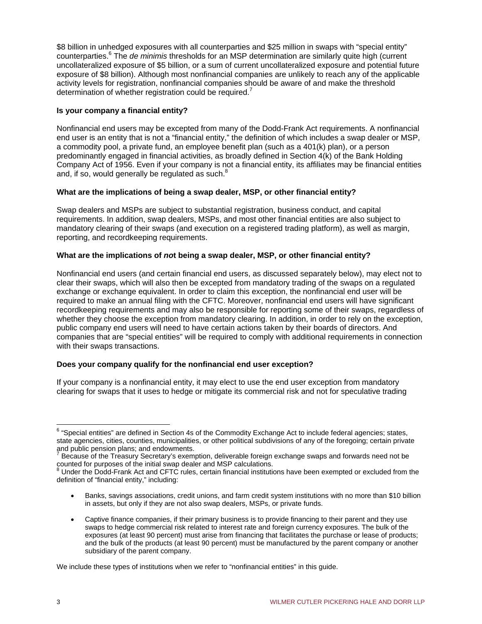\$8 billion in unhedged exposures with all counterparties and \$25 million in swaps with "special entity" counterparties.<sup>6</sup> The *de minimis* thresholds for an MSP determination are similarly quite high (current uncollateralized exposure of \$5 billion, or a sum of current uncollateralized exposure and potential future exposure of \$8 billion). Although most nonfinancial companies are unlikely to reach any of the applicable activity levels for registration, nonfinancial companies should be aware of and make the threshold determination of whether registration could be required.<sup>7</sup>

#### **Is your company a financial entity?**

Nonfinancial end users may be excepted from many of the Dodd-Frank Act requirements. A nonfinancial end user is an entity that is not a "financial entity," the definition of which includes a swap dealer or MSP, a commodity pool, a private fund, an employee benefit plan (such as a 401(k) plan), or a person predominantly engaged in financial activities, as broadly defined in Section 4(k) of the Bank Holding Company Act of 1956. Even if your company is not a financial entity, its affiliates may be financial entities and, if so, would generally be regulated as such.<sup>8</sup>

# **What are the implications of being a swap dealer, MSP, or other financial entity?**

Swap dealers and MSPs are subject to substantial registration, business conduct, and capital requirements. In addition, swap dealers, MSPs, and most other financial entities are also subject to mandatory clearing of their swaps (and execution on a registered trading platform), as well as margin, reporting, and recordkeeping requirements.

# **What are the implications of** *no***t being a swap dealer, MSP, or other financial entity?**

Nonfinancial end users (and certain financial end users, as discussed separately below), may elect not to clear their swaps, which will also then be excepted from mandatory trading of the swaps on a regulated exchange or exchange equivalent. In order to claim this exception, the nonfinancial end user will be required to make an annual filing with the CFTC. Moreover, nonfinancial end users will have significant recordkeeping requirements and may also be responsible for reporting some of their swaps, regardless of whether they choose the exception from mandatory clearing. In addition, in order to rely on the exception, public company end users will need to have certain actions taken by their boards of directors. And companies that are "special entities" will be required to comply with additional requirements in connection with their swaps transactions.

#### **Does your company qualify for the nonfinancial end user exception?**

If your company is a nonfinancial entity, it may elect to use the end user exception from mandatory clearing for swaps that it uses to hedge or mitigate its commercial risk and not for speculative trading

 6 "Special entities" are defined in Section 4s of the Commodity Exchange Act to include federal agencies; states, state agencies, cities, counties, municipalities, or other political subdivisions of any of the foregoing; certain private and public pension plans; and endowments.<br><sup>7</sup> Besause of the Transury Searctory's average

Because of the Treasury Secretary's exemption, deliverable foreign exchange swaps and forwards need not be counted for purposes of the initial swap dealer and MSP calculations.

Under the Dodd-Frank Act and CFTC rules, certain financial institutions have been exempted or excluded from the definition of "financial entity," including:

Banks, savings associations, credit unions, and farm credit system institutions with no more than \$10 billion in assets, but only if they are not also swap dealers, MSPs, or private funds.

Captive finance companies, if their primary business is to provide financing to their parent and they use swaps to hedge commercial risk related to interest rate and foreign currency exposures. The bulk of the exposures (at least 90 percent) must arise from financing that facilitates the purchase or lease of products; and the bulk of the products (at least 90 percent) must be manufactured by the parent company or another subsidiary of the parent company.

We include these types of institutions when we refer to "nonfinancial entities" in this guide.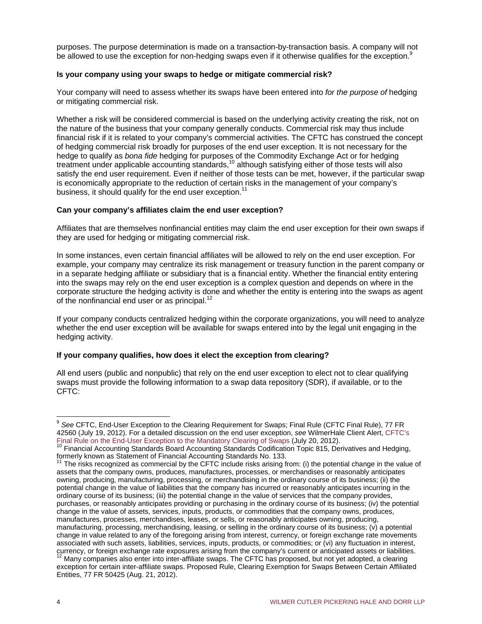purposes. The purpose determination is made on a transaction-by-transaction basis. A company will not be allowed to use the exception for non-hedging swaps even if it otherwise qualifies for the exception.<sup>9</sup>

#### **Is your company using your swaps to hedge or mitigate commercial risk?**

Your company will need to assess whether its swaps have been entered into *for the purpose of* hedging or mitigating commercial risk.

Whether a risk will be considered commercial is based on the underlying activity creating the risk, not on the nature of the business that your company generally conducts. Commercial risk may thus include financial risk if it is related to your company's commercial activities. The CFTC has construed the concept of hedging commercial risk broadly for purposes of the end user exception. It is not necessary for the hedge to qualify as *bona fide* hedging for purposes of the Commodity Exchange Act or for hedging treatment under applicable accounting standards,<sup>10</sup> although satisfying either of those tests will also satisfy the end user requirement. Even if neither of those tests can be met, however, if the particular swap is economically appropriate to the reduction of certain risks in the management of your company's business, it should qualify for the end user exception.<sup>11</sup>

#### **Can your company's affiliates claim the end user exception?**

Affiliates that are themselves nonfinancial entities may claim the end user exception for their own swaps if they are used for hedging or mitigating commercial risk.

In some instances, even certain financial affiliates will be allowed to rely on the end user exception. For example, your company may centralize its risk management or treasury function in the parent company or in a separate hedging affiliate or subsidiary that is a financial entity. Whether the financial entity entering into the swaps may rely on the end user exception is a complex question and depends on where in the corporate structure the hedging activity is done and whether the entity is entering into the swaps as agent of the nonfinancial end user or as principal.<sup>12</sup>

If your company conducts centralized hedging within the corporate organizations, you will need to analyze whether the end user exception will be available for swaps entered into by the legal unit engaging in the hedging activity.

#### **If your company qualifies, how does it elect the exception from clearing?**

All end users (public and nonpublic) that rely on the end user exception to elect not to clear qualifying swaps must provide the following information to a swap data repository (SDR), if available, or to the CFTC:

 $\overline{a}$ 

<sup>9</sup> *See* CFTC, End-User Exception to the Clearing Requirement for Swaps; Final Rule (CFTC Final Rule), 77 FR 42560 (July 19, 2012). For a detailed discussion on the end user exception, *see* WilmerHale Client Alert, CFTC's [Final Rule on the End-User Exception to the Mandatory Clearing of Swaps \(July 20, 2012\).](http://www.wilmerhale.com/pages/publicationsandnewsdetail.aspx?NewsPubId=108466)<br><sup>10</sup> Financial Accounting Standards Board Accounting Standards Codification Topic 815, Derivatives and Hedging,

formerly known as Statement of Financial Accounting Standards No. 133.<br><sup>11</sup> The risks recognized as commercial by the CFTC include risks arising from: (i) the potential change in the value of

assets that the company owns, produces, manufactures, processes, or merchandises or reasonably anticipates owning, producing, manufacturing, processing, or merchandising in the ordinary course of its business; (ii) the potential change in the value of liabilities that the company has incurred or reasonably anticipates incurring in the ordinary course of its business; (iii) the potential change in the value of services that the company provides, purchases, or reasonably anticipates providing or purchasing in the ordinary course of its business; (iv) the potential change in the value of assets, services, inputs, products, or commodities that the company owns, produces, manufactures, processes, merchandises, leases, or sells, or reasonably anticipates owning, producing, manufacturing, processing, merchandising, leasing, or selling in the ordinary course of its business;  $(v)$  a potential change in value related to any of the foregoing arising from interest, currency, or foreign exchange rate movements associated with such assets, liabilities, services, inputs, products, or commodities; or (vi) any fluctuation in interest, currency, or foreign exchange rate exposures arising from the company's current or anticipated assets or liabilities.<br><sup>12</sup> Many companies also enter into inter-affiliate swaps. The CFTC has proposed, but not yet adopted, a

exception for certain inter-affiliate swaps. Proposed Rule, Clearing Exemption for Swaps Between Certain Affiliated Entities, 77 FR 50425 (Aug. 21, 2012).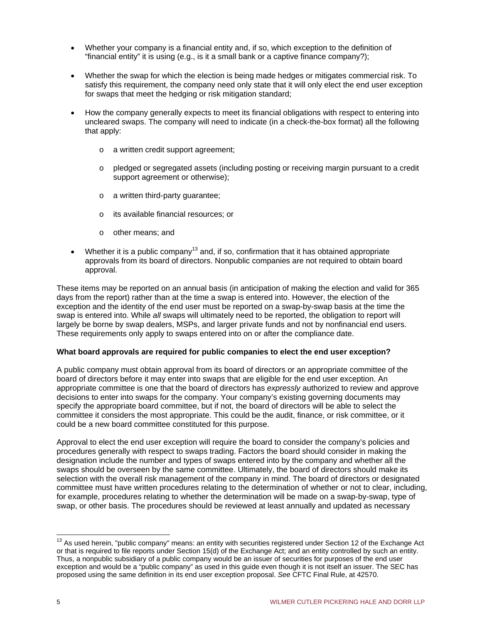- Whether your company is a financial entity and, if so, which exception to the definition of "financial entity" it is using (e.g., is it a small bank or a captive finance company?);
- Whether the swap for which the election is being made hedges or mitigates commercial risk. To satisfy this requirement, the company need only state that it will only elect the end user exception for swaps that meet the hedging or risk mitigation standard;
- How the company generally expects to meet its financial obligations with respect to entering into uncleared swaps. The company will need to indicate (in a check-the-box format) all the following that apply:
	- o a written credit support agreement;
	- o pledged or segregated assets (including posting or receiving margin pursuant to a credit support agreement or otherwise);
	- o a written third-party guarantee;
	- o its available financial resources; or
	- o other means; and
- Whether it is a public company<sup>13</sup> and, if so, confirmation that it has obtained appropriate approvals from its board of directors. Nonpublic companies are not required to obtain board approval.

These items may be reported on an annual basis (in anticipation of making the election and valid for 365 days from the report) rather than at the time a swap is entered into. However, the election of the exception and the identity of the end user must be reported on a swap-by-swap basis at the time the swap is entered into. While *all* swaps will ultimately need to be reported, the obligation to report will largely be borne by swap dealers, MSPs, and larger private funds and not by nonfinancial end users. These requirements only apply to swaps entered into on or after the compliance date.

#### **What board approvals are required for public companies to elect the end user exception?**

A public company must obtain approval from its board of directors or an appropriate committee of the board of directors before it may enter into swaps that are eligible for the end user exception. An appropriate committee is one that the board of directors has *expressly* authorized to review and approve decisions to enter into swaps for the company. Your company's existing governing documents may specify the appropriate board committee, but if not, the board of directors will be able to select the committee it considers the most appropriate. This could be the audit, finance, or risk committee, or it could be a new board committee constituted for this purpose.

Approval to elect the end user exception will require the board to consider the company's policies and procedures generally with respect to swaps trading. Factors the board should consider in making the designation include the number and types of swaps entered into by the company and whether all the swaps should be overseen by the same committee. Ultimately, the board of directors should make its selection with the overall risk management of the company in mind. The board of directors or designated committee must have written procedures relating to the determination of whether or not to clear, including, for example, procedures relating to whether the determination will be made on a swap-by-swap, type of swap, or other basis. The procedures should be reviewed at least annually and updated as necessary

 $\overline{1}$  $13$  As used herein, "public company" means: an entity with securities registered under Section 12 of the Exchange Act or that is required to file reports under Section 15(d) of the Exchange Act; and an entity controlled by such an entity. Thus, a nonpublic subsidiary of a public company would be an issuer of securities for purposes of the end user exception and would be a "public company" as used in this guide even though it is not itself an issuer. The SEC has proposed using the same definition in its end user exception proposal. *See* CFTC Final Rule, at 42570.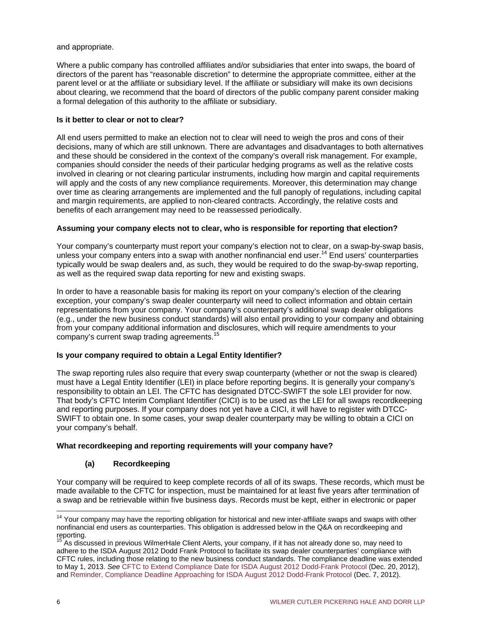and appropriate.

Where a public company has controlled affiliates and/or subsidiaries that enter into swaps, the board of directors of the parent has "reasonable discretion" to determine the appropriate committee, either at the parent level or at the affiliate or subsidiary level. If the affiliate or subsidiary will make its own decisions about clearing, we recommend that the board of directors of the public company parent consider making a formal delegation of this authority to the affiliate or subsidiary.

### **Is it better to clear or not to clear?**

All end users permitted to make an election not to clear will need to weigh the pros and cons of their decisions, many of which are still unknown. There are advantages and disadvantages to both alternatives and these should be considered in the context of the company's overall risk management. For example, companies should consider the needs of their particular hedging programs as well as the relative costs involved in clearing or not clearing particular instruments, including how margin and capital requirements will apply and the costs of any new compliance requirements. Moreover, this determination may change over time as clearing arrangements are implemented and the full panoply of regulations, including capital and margin requirements, are applied to non-cleared contracts. Accordingly, the relative costs and benefits of each arrangement may need to be reassessed periodically.

# **Assuming your company elects not to clear, who is responsible for reporting that election?**

Your company's counterparty must report your company's election not to clear, on a swap-by-swap basis, unless your company enters into a swap with another nonfinancial end user.<sup>14</sup> End users' counterparties typically would be swap dealers and, as such, they would be required to do the swap-by-swap reporting, as well as the required swap data reporting for new and existing swaps.

In order to have a reasonable basis for making its report on your company's election of the clearing exception, your company's swap dealer counterparty will need to collect information and obtain certain representations from your company. Your company's counterparty's additional swap dealer obligations (e.g., under the new business conduct standards) will also entail providing to your company and obtaining from your company additional information and disclosures, which will require amendments to your company's current swap trading agreements.15

# **Is your company required to obtain a Legal Entity Identifier?**

The swap reporting rules also require that every swap counterparty (whether or not the swap is cleared) must have a Legal Entity Identifier (LEI) in place before reporting begins. It is generally your company's responsibility to obtain an LEI. The CFTC has designated DTCC-SWIFT the sole LEI provider for now. That body's CFTC Interim Compliant Identifier (CICI) is to be used as the LEI for all swaps recordkeeping and reporting purposes. If your company does not yet have a CICI, it will have to register with DTCC-SWIFT to obtain one. In some cases, your swap dealer counterparty may be willing to obtain a CICI on your company's behalf.

# **What recordkeeping and reporting requirements will your company have?**

# **(a) Recordkeeping**

Your company will be required to keep complete records of all of its swaps. These records, which must be made available to the CFTC for inspection, must be maintained for at least five years after termination of a swap and be retrievable within five business days. Records must be kept, either in electronic or paper

 $\overline{1}$ <sup>14</sup> Your company may have the reporting obligation for historical and new inter-affiliate swaps and swaps with other nonfinancial end users as counterparties. This obligation is addressed below in the Q&A on recordkeeping and reporting.

<sup>15</sup> As discussed in previous WilmerHale Client Alerts, your company, if it has not already done so, may need to adhere to the ISDA August 2012 Dodd Frank Protocol to facilitate its swap dealer counterparties' compliance with CFTC rules, including those relating to the new business conduct standards. The compliance deadline was extended to May 1, 2013. *See* [CFTC to Extend Compliance Date for ISDA August 2012 Dodd-Frank Protocol](http://www.wilmerhale.com/pages/publicationsandnewsdetail.aspx?NewsPubId=10737419381) (Dec. 20, 2012), and [Reminder, Compliance Deadline Approaching for ISDA August 2012 Dodd-Frank Protocol](http://www.wilmerhale.com/pages/publicationsandnewsdetail.aspx?NewsPubId=10737419156) (Dec. 7, 2012).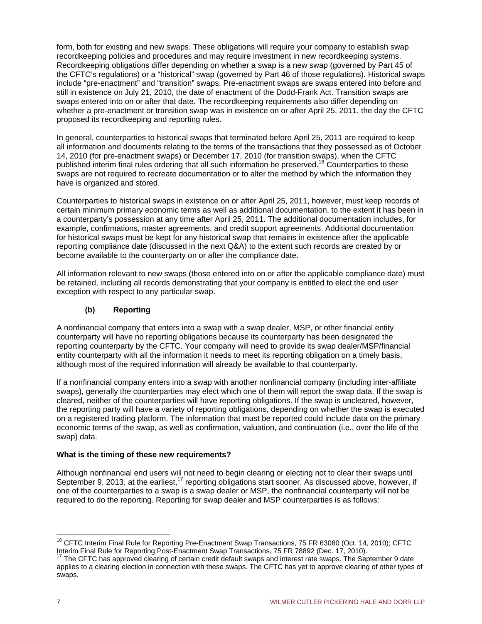form, both for existing and new swaps. These obligations will require your company to establish swap recordkeeping policies and procedures and may require investment in new recordkeeping systems. Recordkeeping obligations differ depending on whether a swap is a new swap (governed by Part 45 of the CFTC's regulations) or a "historical" swap (governed by Part 46 of those regulations). Historical swaps include "pre-enactment" and "transition" swaps. Pre-enactment swaps are swaps entered into before and still in existence on July 21, 2010, the date of enactment of the Dodd-Frank Act. Transition swaps are swaps entered into on or after that date. The recordkeeping requirements also differ depending on whether a pre-enactment or transition swap was in existence on or after April 25, 2011, the day the CFTC proposed its recordkeeping and reporting rules.

In general, counterparties to historical swaps that terminated before April 25, 2011 are required to keep all information and documents relating to the terms of the transactions that they possessed as of October 14, 2010 (for pre-enactment swaps) or December 17, 2010 (for transition swaps), when the CFTC published interim final rules ordering that all such information be preserved.<sup>16</sup> Counterparties to these swaps are not required to recreate documentation or to alter the method by which the information they have is organized and stored.

Counterparties to historical swaps in existence on or after April 25, 2011, however, must keep records of certain minimum primary economic terms as well as additional documentation, to the extent it has been in a counterparty's possession at any time after April 25, 2011. The additional documentation includes, for example, confirmations, master agreements, and credit support agreements. Additional documentation for historical swaps must be kept for any historical swap that remains in existence after the applicable reporting compliance date (discussed in the next Q&A) to the extent such records are created by or become available to the counterparty on or after the compliance date.

All information relevant to new swaps (those entered into on or after the applicable compliance date) must be retained, including all records demonstrating that your company is entitled to elect the end user exception with respect to any particular swap.

# **(b) Reporting**

A nonfinancial company that enters into a swap with a swap dealer, MSP, or other financial entity counterparty will have no reporting obligations because its counterparty has been designated the reporting counterparty by the CFTC. Your company will need to provide its swap dealer/MSP/financial entity counterparty with all the information it needs to meet its reporting obligation on a timely basis, although most of the required information will already be available to that counterparty.

If a nonfinancial company enters into a swap with another nonfinancial company (including inter-affiliate swaps), generally the counterparties may elect which one of them will report the swap data. If the swap is cleared, neither of the counterparties will have reporting obligations. If the swap is uncleared, however, the reporting party will have a variety of reporting obligations, depending on whether the swap is executed on a registered trading platform. The information that must be reported could include data on the primary economic terms of the swap, as well as confirmation, valuation, and continuation (i.e., over the life of the swap) data.

# **What is the timing of these new requirements?**

Although nonfinancial end users will not need to begin clearing or electing not to clear their swaps until September 9, 2013, at the earliest,<sup>17</sup> reporting obligations start sooner. As discussed above, however, if one of the counterparties to a swap is a swap dealer or MSP, the nonfinancial counterparty will not be required to do the reporting. Reporting for swap dealer and MSP counterparties is as follows:

 $\overline{1}$ <sup>16</sup> CFTC Interim Final Rule for Reporting Pre-Enactment Swap Transactions, 75 FR 63080 (Oct. 14, 2010); CFTC Interim Final Rule for Reporting Post-Enactment Swap Transactions, 75 FR 78892 (Dec. 17, 2010).

<sup>&</sup>lt;sup>17</sup> The CFTC has approved clearing of certain credit default swaps and interest rate swaps. The September 9 date applies to a clearing election in connection with these swaps. The CFTC has yet to approve clearing of other types of swaps.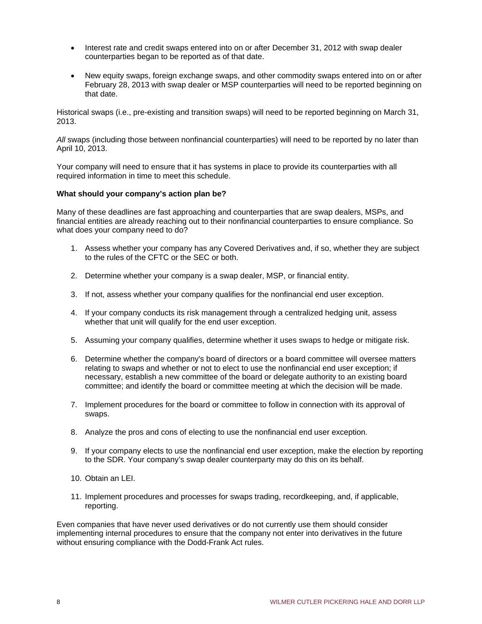- Interest rate and credit swaps entered into on or after December 31, 2012 with swap dealer counterparties began to be reported as of that date.
- New equity swaps, foreign exchange swaps, and other commodity swaps entered into on or after February 28, 2013 with swap dealer or MSP counterparties will need to be reported beginning on that date.

Historical swaps (i.e., pre-existing and transition swaps) will need to be reported beginning on March 31, 2013.

*All* swaps (including those between nonfinancial counterparties) will need to be reported by no later than April 10, 2013.

Your company will need to ensure that it has systems in place to provide its counterparties with all required information in time to meet this schedule.

#### **What should your company's action plan be?**

Many of these deadlines are fast approaching and counterparties that are swap dealers, MSPs, and financial entities are already reaching out to their nonfinancial counterparties to ensure compliance. So what does your company need to do?

- 1. Assess whether your company has any Covered Derivatives and, if so, whether they are subject to the rules of the CFTC or the SEC or both.
- 2. Determine whether your company is a swap dealer, MSP, or financial entity.
- 3. If not, assess whether your company qualifies for the nonfinancial end user exception.
- 4. If your company conducts its risk management through a centralized hedging unit, assess whether that unit will qualify for the end user exception.
- 5. Assuming your company qualifies, determine whether it uses swaps to hedge or mitigate risk.
- 6. Determine whether the company's board of directors or a board committee will oversee matters relating to swaps and whether or not to elect to use the nonfinancial end user exception; if necessary, establish a new committee of the board or delegate authority to an existing board committee; and identify the board or committee meeting at which the decision will be made.
- 7. Implement procedures for the board or committee to follow in connection with its approval of swaps.
- 8. Analyze the pros and cons of electing to use the nonfinancial end user exception.
- 9. If your company elects to use the nonfinancial end user exception, make the election by reporting to the SDR. Your company's swap dealer counterparty may do this on its behalf.
- 10. Obtain an LEI.
- 11. Implement procedures and processes for swaps trading, recordkeeping, and, if applicable, reporting.

Even companies that have never used derivatives or do not currently use them should consider implementing internal procedures to ensure that the company not enter into derivatives in the future without ensuring compliance with the Dodd-Frank Act rules.